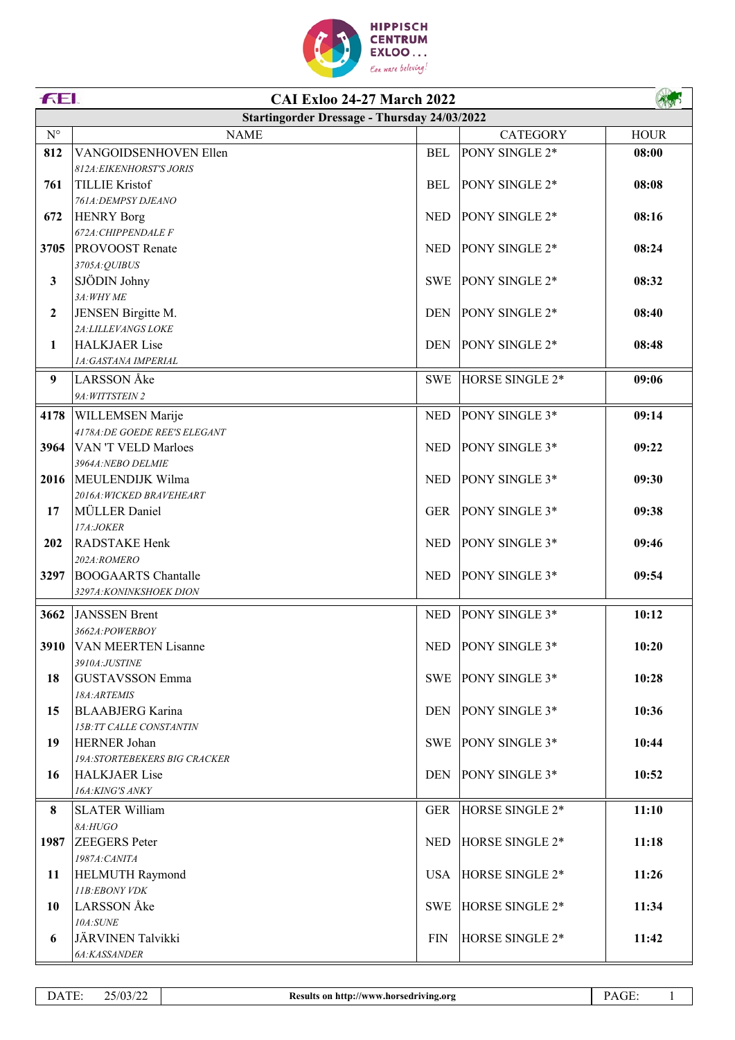

|                    | FEI.<br><b>CAI Exloo 24-27 March 2022</b>           |            |                    |             |  |
|--------------------|-----------------------------------------------------|------------|--------------------|-------------|--|
|                    | <b>Startingorder Dressage - Thursday 24/03/2022</b> |            |                    |             |  |
| $\mathrm{N}^\circ$ | <b>NAME</b>                                         |            | <b>CATEGORY</b>    | <b>HOUR</b> |  |
| 812                | <b>VANGOIDSENHOVEN Ellen</b>                        | <b>BEL</b> | PONY SINGLE 2*     | 08:00       |  |
|                    | 812A: EIKENHORST'S JORIS                            |            |                    |             |  |
| 761                | <b>TILLIE Kristof</b>                               | <b>BEL</b> | PONY SINGLE 2*     | 08:08       |  |
|                    | 761A: DEMPSY DJEANO                                 |            |                    |             |  |
| 672                | <b>HENRY Borg</b>                                   | <b>NED</b> | PONY SINGLE 2*     | 08:16       |  |
|                    | 672A: CHIPPENDALE F                                 |            |                    |             |  |
| 3705               | <b>PROVOOST</b> Renate                              | <b>NED</b> | PONY SINGLE 2*     | 08:24       |  |
| 3                  | 3705A:QUIBUS<br>SJÖDIN Johny                        | SWE        | PONY SINGLE 2*     | 08:32       |  |
|                    | 3A: WHY ME                                          |            |                    |             |  |
| $\boldsymbol{2}$   | JENSEN Birgitte M.                                  | <b>DEN</b> | PONY SINGLE 2*     | 08:40       |  |
|                    | 2A: LILLEVANGS LOKE                                 |            |                    |             |  |
| 1                  | <b>HALKJAER Lise</b>                                | <b>DEN</b> | PONY SINGLE 2*     | 08:48       |  |
|                    | 1A:GASTANA IMPERIAL                                 |            |                    |             |  |
| 9                  | <b>LARSSON</b> Åke                                  | SWE        | HORSE SINGLE 2*    | 09:06       |  |
|                    | 9A: WITTSTEIN 2                                     |            |                    |             |  |
| 4178               | <b>WILLEMSEN Marije</b>                             | <b>NED</b> | PONY SINGLE 3*     | 09:14       |  |
|                    | 4178A: DE GOEDE REE'S ELEGANT                       |            |                    |             |  |
| 3964               | VAN 'T VELD Marloes                                 | <b>NED</b> | PONY SINGLE 3*     | 09:22       |  |
|                    | 3964A:NEBO DELMIE                                   |            |                    |             |  |
| 2016               | MEULENDIJK Wilma                                    | <b>NED</b> | PONY SINGLE 3*     | 09:30       |  |
|                    | 2016A: WICKED BRAVEHEART                            |            |                    |             |  |
| 17                 | MÜLLER Daniel                                       | GER        | PONY SINGLE 3*     | 09:38       |  |
|                    | 17A:JOKER                                           |            |                    |             |  |
| 202                | <b>RADSTAKE Henk</b>                                | <b>NED</b> | PONY SINGLE 3*     | 09:46       |  |
|                    | 202A:ROMERO                                         |            |                    |             |  |
| 3297               | <b>BOOGAARTS</b> Chantalle                          | <b>NED</b> | PONY SINGLE 3*     | 09:54       |  |
|                    | 3297A: KONINKSHOEK DION                             |            |                    |             |  |
| 3662               | <b>JANSSEN Brent</b>                                | <b>NED</b> | PONY SINGLE 3*     | 10:12       |  |
|                    | 3662A:POWERBOY                                      |            |                    |             |  |
| 3910               | <b>VAN MEERTEN Lisanne</b>                          | <b>NED</b> | PONY SINGLE 3*     | 10:20       |  |
|                    | 3910A:JUSTINE                                       |            |                    |             |  |
| 18                 | <b>GUSTAVSSON Emma</b>                              |            | SWE PONY SINGLE 3* | 10:28       |  |
|                    | 18A:ARTEMIS<br><b>BLAABJERG</b> Karina              |            |                    |             |  |
| 15                 | 15B:TT CALLE CONSTANTIN                             | DEN        | PONY SINGLE 3*     | 10:36       |  |
| 19                 | <b>HERNER Johan</b>                                 | SWE        | PONY SINGLE 3*     | 10:44       |  |
|                    | <b>19A:STORTEBEKERS BIG CRACKER</b>                 |            |                    |             |  |
| 16                 | <b>HALKJAER Lise</b>                                | DEN        | PONY SINGLE 3*     | 10:52       |  |
|                    | 16A: KING'S ANKY                                    |            |                    |             |  |
| 8                  | <b>SLATER William</b>                               | <b>GER</b> | HORSE SINGLE 2*    | 11:10       |  |
|                    | 8A:HUGO                                             |            |                    |             |  |
| 1987               | <b>ZEEGERS</b> Peter                                | <b>NED</b> | HORSE SINGLE 2*    | 11:18       |  |
|                    | 1987A: CANITA                                       |            |                    |             |  |
| 11                 | <b>HELMUTH Raymond</b>                              | <b>USA</b> | HORSE SINGLE 2*    | 11:26       |  |
|                    | 11B:EBONY VDK                                       |            |                    |             |  |
| 10                 | LARSSON Åke                                         | SWE        | HORSE SINGLE 2*    | 11:34       |  |
|                    | 10A:SUME                                            |            |                    |             |  |
| 6                  | JÄRVINEN Talvikki                                   | <b>FIN</b> | HORSE SINGLE 2*    | 11:42       |  |
|                    | 6A:KASSANDER                                        |            |                    |             |  |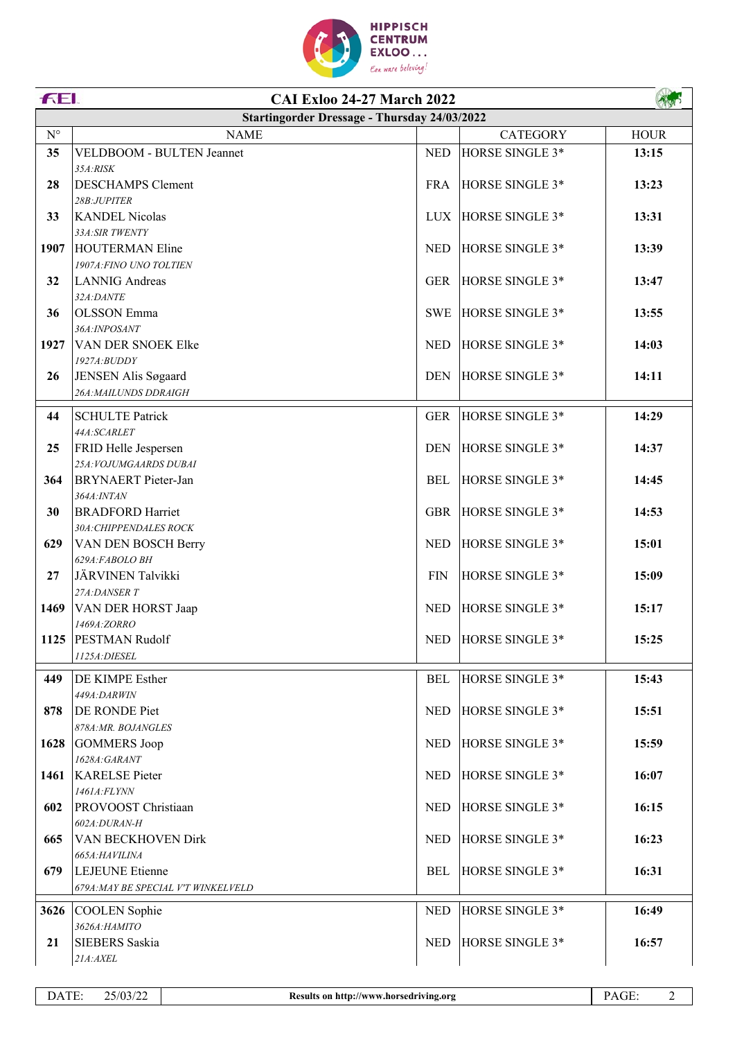

|                      | FEI.<br><b>CAI Exloo 24-27 March 2022</b>           |             |                     |             |  |
|----------------------|-----------------------------------------------------|-------------|---------------------|-------------|--|
|                      | <b>Startingorder Dressage - Thursday 24/03/2022</b> |             |                     |             |  |
| $\mathbf{N}^{\circ}$ | <b>NAME</b>                                         |             | <b>CATEGORY</b>     | <b>HOUR</b> |  |
| 35                   | VELDBOOM - BULTEN Jeannet                           | <b>NED</b>  | HORSE SINGLE 3*     | 13:15       |  |
|                      | 35A:RISK                                            |             |                     |             |  |
| 28                   | <b>DESCHAMPS</b> Clement                            | <b>FRA</b>  | HORSE SINGLE 3*     | 13:23       |  |
|                      | 28B:JUPITER                                         |             |                     |             |  |
| 33                   | <b>KANDEL Nicolas</b>                               | LUX.        | HORSE SINGLE 3*     | 13:31       |  |
|                      | 33A:SIR TWENTY                                      |             |                     |             |  |
| 1907                 | <b>HOUTERMAN Eline</b><br>1907A: FINO UNO TOLTIEN   | <b>NED</b>  | HORSE SINGLE 3*     | 13:39       |  |
| 32                   | <b>LANNIG</b> Andreas                               | <b>GER</b>  | HORSE SINGLE 3*     | 13:47       |  |
|                      | 32A:DANTE                                           |             |                     |             |  |
| 36                   | <b>OLSSON</b> Emma                                  | <b>SWE</b>  | HORSE SINGLE 3*     | 13:55       |  |
|                      | 36A:INPOSANT                                        |             |                     |             |  |
| 1927                 | VAN DER SNOEK Elke                                  | <b>NED</b>  | HORSE SINGLE 3*     | 14:03       |  |
|                      | 1927A: BUDDY                                        |             |                     |             |  |
| 26                   | JENSEN Alis Søgaard                                 | <b>DEN</b>  | HORSE SINGLE 3*     | 14:11       |  |
|                      | 26A: MAILUNDS DDRAIGH                               |             |                     |             |  |
| 44                   | <b>SCHULTE Patrick</b>                              | <b>GER</b>  | HORSE SINGLE 3*     | 14:29       |  |
|                      | 44A:SCARLET                                         |             |                     |             |  |
| 25                   | FRID Helle Jespersen                                | <b>DEN</b>  | HORSE SINGLE 3*     | 14:37       |  |
|                      | 25A: VOJUMGAARDS DUBAI                              |             |                     |             |  |
| 364                  | <b>BRYNAERT</b> Pieter-Jan                          | <b>BEL</b>  | HORSE SINGLE 3*     | 14:45       |  |
|                      | 364A: INTAN                                         |             |                     |             |  |
| 30                   | <b>BRADFORD Harriet</b>                             | <b>GBR</b>  | HORSE SINGLE 3*     | 14:53       |  |
| 629                  | 30A: CHIPPENDALES ROCK<br>VAN DEN BOSCH Berry       | <b>NED</b>  | HORSE SINGLE 3*     | 15:01       |  |
|                      | 629A:FABOLO BH                                      |             |                     |             |  |
| 27                   | JÄRVINEN Talvikki                                   | ${\rm FIN}$ | HORSE SINGLE 3*     | 15:09       |  |
|                      | 27A:DANSER T                                        |             |                     |             |  |
| 1469                 | <b>VAN DER HORST Jaap</b>                           | <b>NED</b>  | HORSE SINGLE 3*     | 15:17       |  |
|                      | 1469A:ZORRO                                         |             |                     |             |  |
|                      | 1125 PESTMAN Rudolf                                 |             | NED HORSE SINGLE 3* | 15:25       |  |
|                      | <i>1125A:DIESEL</i>                                 |             |                     |             |  |
| 449                  | <b>DE KIMPE Esther</b>                              | <b>BEL</b>  | HORSE SINGLE 3*     | 15:43       |  |
|                      | 449A:DARWIN                                         |             |                     |             |  |
| 878                  | <b>DE RONDE Piet</b>                                | <b>NED</b>  | HORSE SINGLE 3*     | 15:51       |  |
|                      | 878A:MR. BOJANGLES                                  |             |                     |             |  |
| 1628                 | <b>GOMMERS Joop</b>                                 | <b>NED</b>  | HORSE SINGLE 3*     | 15:59       |  |
|                      | 1628A:GARANT<br>1461 KARELSE Pieter                 | <b>NED</b>  | HORSE SINGLE 3*     | 16:07       |  |
|                      | <i>1461A:FLYNN</i>                                  |             |                     |             |  |
| 602                  | <b>PROVOOST</b> Christiaan                          | <b>NED</b>  | HORSE SINGLE 3*     | 16:15       |  |
|                      | 602A:DURAN-H                                        |             |                     |             |  |
| 665                  | <b>VAN BECKHOVEN Dirk</b>                           | <b>NED</b>  | HORSE SINGLE 3*     | 16:23       |  |
|                      | 665A: HAVILINA                                      |             |                     |             |  |
| 679                  | <b>LEJEUNE</b> Etienne                              | BEL         | HORSE SINGLE 3*     | 16:31       |  |
|                      | 679A: MAY BE SPECIAL V'T WINKELVELD                 |             |                     |             |  |
| 3626                 | COOLEN Sophie                                       | <b>NED</b>  | HORSE SINGLE 3*     | 16:49       |  |
|                      | 3626А:НАМІТО                                        |             |                     |             |  |
| 21                   | <b>SIEBERS</b> Saskia                               | <b>NED</b>  | HORSE SINGLE 3*     | 16:57       |  |
|                      | 21A:AXEL                                            |             |                     |             |  |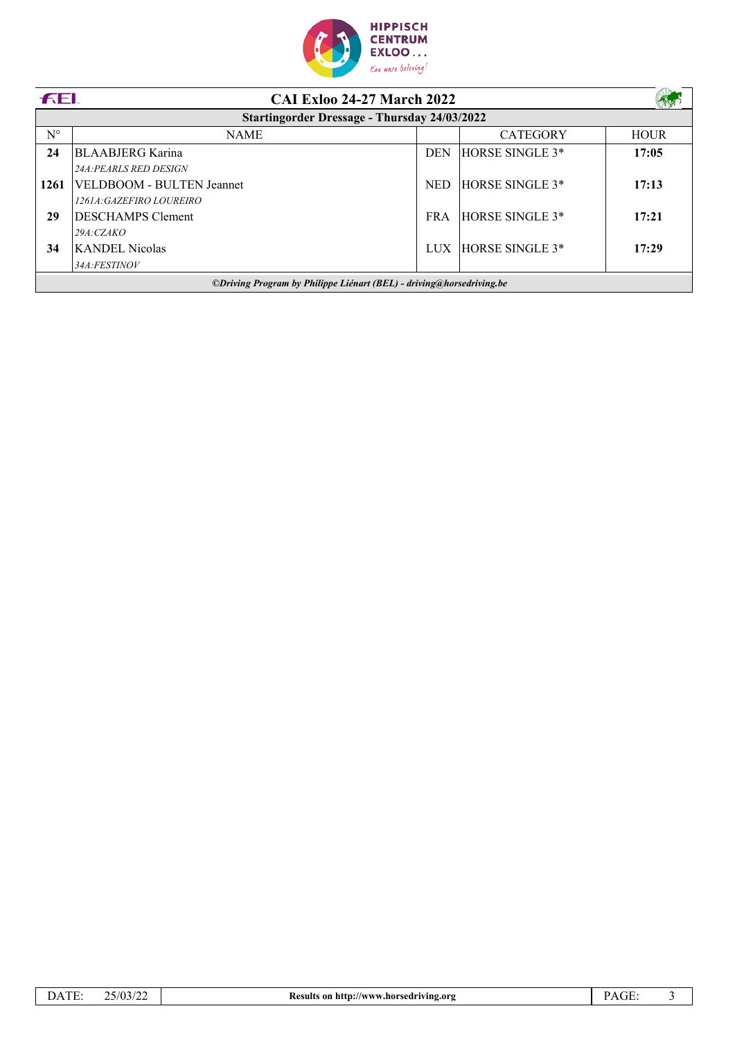

| <b>FEI.</b>                                                          | <b>CAI Exloo 24-27 March 2022</b>                   |            |                 |             |
|----------------------------------------------------------------------|-----------------------------------------------------|------------|-----------------|-------------|
|                                                                      | <b>Startingorder Dressage - Thursday 24/03/2022</b> |            |                 |             |
| $N^{\circ}$                                                          | <b>NAME</b>                                         |            | <b>CATEGORY</b> | <b>HOUR</b> |
| 24                                                                   | <b>BLAABJERG</b> Karina                             | <b>DEN</b> | HORSE SINGLE 3* | 17:05       |
|                                                                      | <b>24A: PEARLS RED DESIGN</b>                       |            |                 |             |
| 1261                                                                 | VELDBOOM - BULTEN Jeannet                           | <b>NED</b> | HORSE SINGLE 3* | 17:13       |
|                                                                      | 1261A: GAZEFIRO LOUREIRO                            |            |                 |             |
| 29                                                                   | <b>DESCHAMPS Clement</b>                            | <b>FRA</b> | HORSE SINGLE 3* | 17:21       |
|                                                                      | 29A: CZAKO                                          |            |                 |             |
| 34                                                                   | <b>KANDEL Nicolas</b>                               | LUX        | HORSE SINGLE 3* | 17:29       |
|                                                                      | 34A:FESTINOV                                        |            |                 |             |
| ©Driving Program by Philippe Liénart (BEL) - driving@horsedriving.be |                                                     |            |                 |             |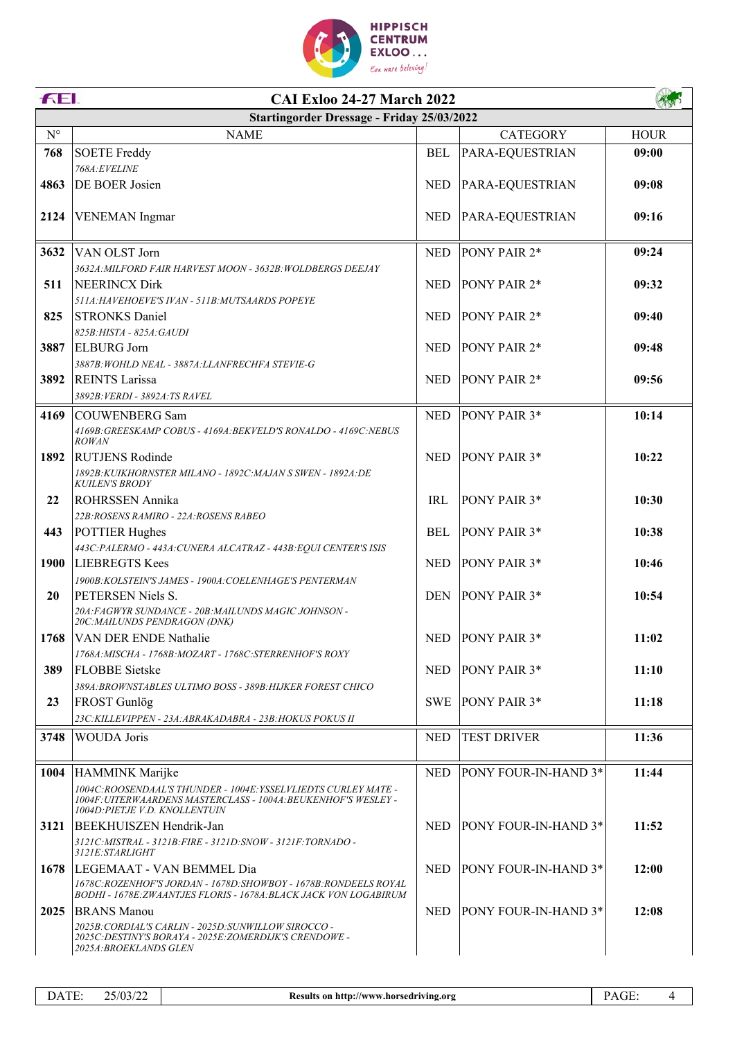

|                      | FEI.<br><b>CAI Exloo 24-27 March 2022</b>                                                                                              |            |                             |             |  |
|----------------------|----------------------------------------------------------------------------------------------------------------------------------------|------------|-----------------------------|-------------|--|
|                      | Startingorder Dressage - Friday 25/03/2022                                                                                             |            |                             |             |  |
| $\mathbf{N}^{\circ}$ | <b>NAME</b>                                                                                                                            |            | <b>CATEGORY</b>             | <b>HOUR</b> |  |
| 768                  | <b>SOETE Freddy</b>                                                                                                                    | <b>BEL</b> | PARA-EQUESTRIAN             | 09:00       |  |
|                      | 768A:EVELINE                                                                                                                           |            |                             |             |  |
| 4863                 | DE BOER Josien                                                                                                                         | <b>NED</b> | PARA-EQUESTRIAN             | 09:08       |  |
|                      |                                                                                                                                        |            |                             |             |  |
| 2124                 | <b>VENEMAN</b> Ingmar                                                                                                                  | <b>NED</b> | PARA-EQUESTRIAN             | 09:16       |  |
|                      |                                                                                                                                        |            |                             |             |  |
| 3632                 | VAN OLST Jorn                                                                                                                          | <b>NED</b> | PONY PAIR 2*                | 09:24       |  |
| 511                  | 3632A: MILFORD FAIR HARVEST MOON - 3632B: WOLDBERGS DEEJAY<br><b>NEERINCX Dirk</b>                                                     | <b>NED</b> | PONY PAIR 2*                | 09:32       |  |
|                      | 511A: HAVEHOEVE'S IVAN - 511B: MUTSAARDS POPEYE                                                                                        |            |                             |             |  |
| 825                  | <b>STRONKS Daniel</b>                                                                                                                  | <b>NED</b> | PONY PAIR 2*                | 09:40       |  |
|                      | 825B:HISTA - 825A:GAUDI                                                                                                                |            |                             |             |  |
| 3887                 | <b>ELBURG</b> Jorn                                                                                                                     | <b>NED</b> | PONY PAIR 2*                | 09:48       |  |
|                      | 3887B: WOHLD NEAL - 3887A: LLANFRECHFA STEVIE-G                                                                                        |            |                             |             |  |
| 3892                 | <b>REINTS Larissa</b>                                                                                                                  | <b>NED</b> | PONY PAIR 2*                | 09:56       |  |
|                      | 3892B: VERDI - 3892A: TS RAVEL                                                                                                         |            |                             |             |  |
| 4169                 | <b>COUWENBERG Sam</b>                                                                                                                  | <b>NED</b> | PONY PAIR 3*                | 10:14       |  |
|                      | 4169B: GREESKAMP COBUS - 4169A: BEKVELD'S RONALDO - 4169C: NEBUS<br><b>ROWAN</b>                                                       |            |                             |             |  |
| 1892                 | <b>RUTJENS Rodinde</b>                                                                                                                 | <b>NED</b> | PONY PAIR 3*                | 10:22       |  |
|                      | 1892B:KUIKHORNSTER MILANO - 1892C:MAJAN S SWEN - 1892A:DE                                                                              |            |                             |             |  |
|                      | <b>KUILEN'S BRODY</b>                                                                                                                  |            |                             |             |  |
| 22                   | ROHRSSEN Annika                                                                                                                        | <b>IRL</b> | PONY PAIR 3*                | 10:30       |  |
|                      | 22B:ROSENS RAMIRO - 22A:ROSENS RABEO                                                                                                   |            |                             |             |  |
| 443                  | <b>POTTIER Hughes</b>                                                                                                                  | BEL        | PONY PAIR 3*                | 10:38       |  |
| 1900                 | 443C: PALERMO - 443A: CUNERA ALCATRAZ - 443B: EQUI CENTER'S ISIS<br><b>LIEBREGTS Kees</b>                                              | <b>NED</b> | PONY PAIR 3*                | 10:46       |  |
|                      | 1900B: KOLSTEIN'S JAMES - 1900A: COELENHAGE'S PENTERMAN                                                                                |            |                             |             |  |
| 20                   | PETERSEN Niels S.                                                                                                                      | <b>DEN</b> | PONY PAIR 3*                | 10:54       |  |
|                      | 20A: FAGWYR SUNDANCE - 20B: MAILUNDS MAGIC JOHNSON -                                                                                   |            |                             |             |  |
|                      | 20C: MAILUNDS PENDRAGON (DNK)                                                                                                          |            |                             |             |  |
|                      | 1768 VAN DER ENDE Nathalie                                                                                                             |            | NED PONY PAIR 3*            | 11:02       |  |
| 389                  | 1768A: MISCHA - 1768B: MOZART - 1768C: STERRENHOF'S ROXY<br><b>FLOBBE</b> Sietske                                                      | <b>NED</b> | <b>PONY PAIR 3*</b>         | 11:10       |  |
|                      | 389A: BROWNSTABLES ULTIMO BOSS - 389B: HIJKER FOREST CHICO                                                                             |            |                             |             |  |
| 23                   | <b>FROST</b> Gunlög                                                                                                                    | <b>SWE</b> | <b>PONY PAIR 3*</b>         | 11:18       |  |
|                      | 23C: KILLEVIPPEN - 23A: ABRAKADABRA - 23B: HOKUS POKUS II                                                                              |            |                             |             |  |
| 3748                 | <b>WOUDA</b> Joris                                                                                                                     | <b>NED</b> | <b>TEST DRIVER</b>          | 11:36       |  |
|                      |                                                                                                                                        |            |                             |             |  |
| 1004                 | HAMMINK Marijke                                                                                                                        | <b>NED</b> | <b>PONY FOUR-IN-HAND 3*</b> | 11:44       |  |
|                      | 1004C:ROOSENDAAL'S THUNDER - 1004E: YSSELVLIEDTS CURLEY MATE -                                                                         |            |                             |             |  |
|                      | 1004F: UITERWAARDENS MASTERCLASS - 1004A: BEUKENHOF'S WESLEY -<br>1004D: PIETJE V.D. KNOLLENTUIN                                       |            |                             |             |  |
| 3121                 | BEEKHUISZEN Hendrik-Jan                                                                                                                | NED.       | <b>PONY FOUR-IN-HAND 3*</b> | 11:52       |  |
|                      | 3121C:MISTRAL - 3121B:FIRE - 3121D:SNOW - 3121F:TORNADO -                                                                              |            |                             |             |  |
|                      | <i>3121E:STARLIGHT</i>                                                                                                                 |            |                             |             |  |
| 1678                 | LEGEMAAT - VAN BEMMEL Dia                                                                                                              | NED.       | <b>PONY FOUR-IN-HAND 3*</b> | 12:00       |  |
|                      | 1678C: ROZENHOF'S JORDAN - 1678D: SHOWBOY - 1678B: RONDEELS ROYAL<br>BODHI - 1678E: ZWAANTJES FLORIS - 1678A: BLACK JACK VON LOGABIRUM |            |                             |             |  |
| 2025                 | <b>BRANS Manou</b>                                                                                                                     | <b>NED</b> | <b>PONY FOUR-IN-HAND 3*</b> | 12:08       |  |
|                      | 2025B: CORDIAL'S CARLIN - 2025D: SUNWILLOW SIROCCO -                                                                                   |            |                             |             |  |
|                      | 2025C:DESTINY'S BORAYA - 2025E:ZOMERDIJK'S CRENDOWE -<br><i>2025A:BROEKLANDS GLEN</i>                                                  |            |                             |             |  |
|                      |                                                                                                                                        |            |                             |             |  |